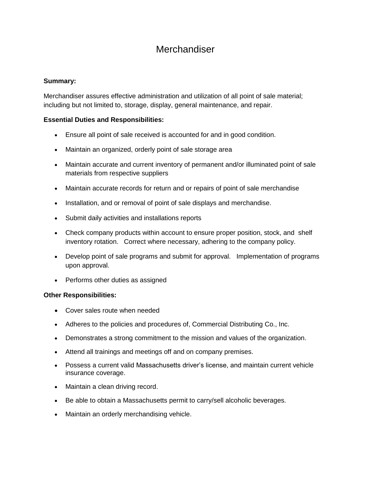# **Merchandiser**

# **Summary:**

Merchandiser assures effective administration and utilization of all point of sale material; including but not limited to, storage, display, general maintenance, and repair.

# **Essential Duties and Responsibilities:**

- Ensure all point of sale received is accounted for and in good condition.
- Maintain an organized, orderly point of sale storage area
- Maintain accurate and current inventory of permanent and/or illuminated point of sale materials from respective suppliers
- Maintain accurate records for return and or repairs of point of sale merchandise
- Installation, and or removal of point of sale displays and merchandise.
- Submit daily activities and installations reports
- Check company products within account to ensure proper position, stock, and shelf inventory rotation. Correct where necessary, adhering to the company policy.
- Develop point of sale programs and submit for approval. Implementation of programs upon approval.
- Performs other duties as assigned

### **Other Responsibilities:**

- Cover sales route when needed
- Adheres to the policies and procedures of, Commercial Distributing Co., Inc.
- Demonstrates a strong commitment to the mission and values of the organization.
- Attend all trainings and meetings off and on company premises.
- Possess a current valid Massachusetts driver's license, and maintain current vehicle insurance coverage.
- Maintain a clean driving record.
- Be able to obtain a Massachusetts permit to carry/sell alcoholic beverages.
- Maintain an orderly merchandising vehicle.